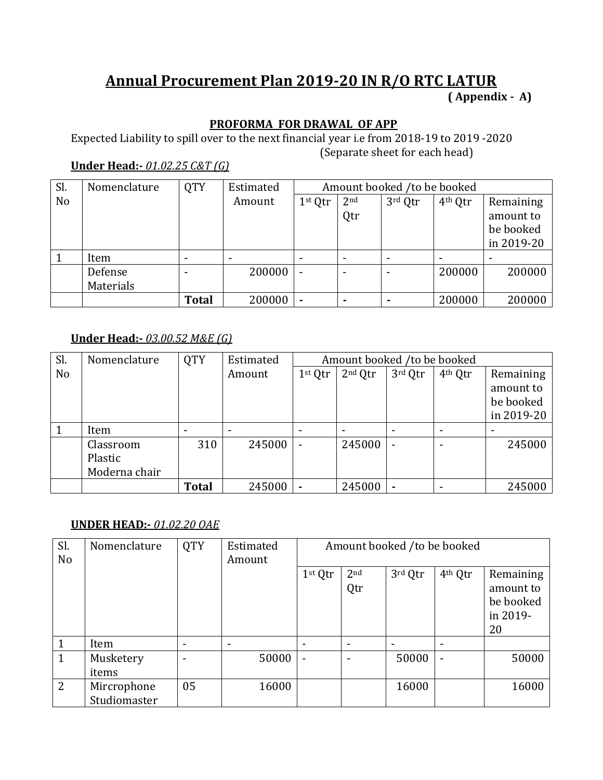# **Annual Procurement Plan 2019-20 IN R/O RTC LATUR ( Appendix - A)**

### **PROFORMA FOR DRAWAL OF APP**

Expected Liability to spill over to the next financial year i.e from 2018-19 to 2019 -2020 (Separate sheet for each head)

# **Under Head:-** *01.02.25 C&T (G)*

| Sl.            | Nomenclature | <b>QTY</b>   | Estimated |                |                 | Amount booked /to be booked |                     |            |
|----------------|--------------|--------------|-----------|----------------|-----------------|-----------------------------|---------------------|------------|
| N <sub>o</sub> |              |              | Amount    | 1st Qtr        | 2 <sub>nd</sub> | 3rd Qtr                     | 4 <sup>th</sup> Qtr | Remaining  |
|                |              |              |           |                | Qtr             |                             |                     | amount to  |
|                |              |              |           |                |                 |                             |                     | be booked  |
|                |              |              |           |                |                 |                             |                     | in 2019-20 |
|                | Item         |              |           |                |                 | $\,$                        |                     |            |
|                | Defense      |              | 200000    | $\blacksquare$ |                 | $\overline{\phantom{0}}$    | 200000              | 200000     |
|                | Materials    |              |           |                |                 |                             |                     |            |
|                |              | <b>Total</b> | 200000    | $\blacksquare$ |                 |                             | 200000              | 200000     |

### **Under Head:-** *03.00.52 M&E (G)*

| Sl.            | Nomenclature  | <b>QTY</b>   | Estimated |           | Amount booked /to be booked |         |                     |            |
|----------------|---------------|--------------|-----------|-----------|-----------------------------|---------|---------------------|------------|
| N <sub>o</sub> |               |              | Amount    | $1st$ Qtr | $2nd$ Qtr                   | 3rd Qtr | 4 <sup>th</sup> Qtr | Remaining  |
|                |               |              |           |           |                             |         |                     | amount to  |
|                |               |              |           |           |                             |         |                     | be booked  |
|                |               |              |           |           |                             |         |                     | in 2019-20 |
|                | Item          |              |           |           |                             |         |                     |            |
|                | Classroom     | 310          | 245000    |           | 245000                      |         |                     | 245000     |
|                | Plastic       |              |           |           |                             |         |                     |            |
|                | Moderna chair |              |           |           |                             |         |                     |            |
|                |               | <b>Total</b> | 245000    |           | 245000                      |         |                     | 245000     |

### **UNDER HEAD:-** *01.02.20 OAE*

| Sl.<br>No      | Nomenclature                | <b>QTY</b> | Estimated<br>Amount |                     |                          | Amount booked /to be booked |                     |                                                       |
|----------------|-----------------------------|------------|---------------------|---------------------|--------------------------|-----------------------------|---------------------|-------------------------------------------------------|
|                |                             |            |                     | 1 <sup>st</sup> Qtr | 2 <sub>nd</sub><br>Qtr   | 3rd Qtr                     | 4 <sup>th</sup> Qtr | Remaining<br>amount to<br>be booked<br>in 2019-<br>20 |
|                | Item                        |            | ٠                   |                     | $\overline{\phantom{a}}$ |                             | $\,$                |                                                       |
|                | Musketery<br>items          |            | 50000               | $\blacksquare$      | $\overline{\phantom{a}}$ | 50000                       | $\blacksquare$      | 50000                                                 |
| $\overline{2}$ | Mircrophone<br>Studiomaster | 05         | 16000               |                     |                          | 16000                       |                     | 16000                                                 |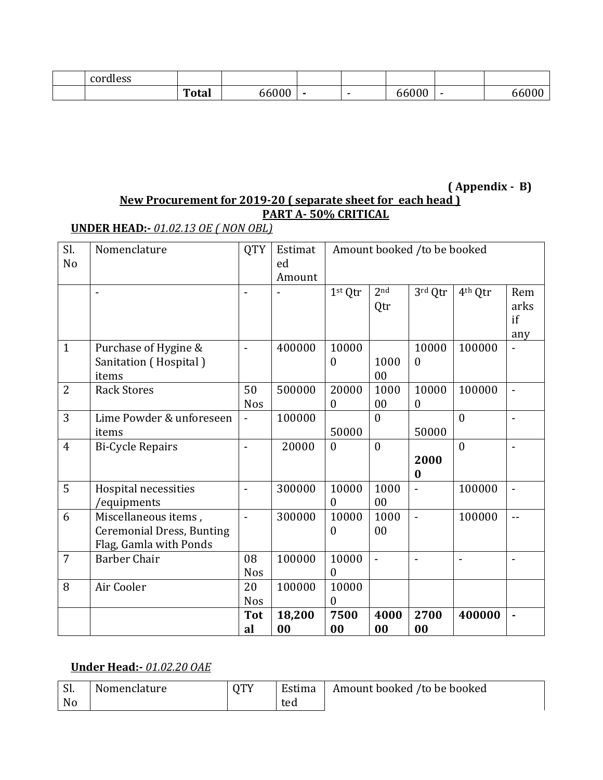| cordless |              |                      |                          |               |   |  |
|----------|--------------|----------------------|--------------------------|---------------|---|--|
|          | <b>Total</b> | $\sim$ $\sim$ $\sim$ | $\overline{\phantom{a}}$ | . $00<$<br>nı | - |  |

#### **( Appendix - B) New Procurement for 2019-20 ( separate sheet for each head ) PART A- 50% CRITICAL**

# **UNDER HEAD:-** *01.02.13 OE ( NON OBL)*

| Sl.            | Nomenclature                     | <b>QTY</b>               | Estimat |                  |                 | Amount booked /to be booked |                     |                |  |
|----------------|----------------------------------|--------------------------|---------|------------------|-----------------|-----------------------------|---------------------|----------------|--|
| N <sub>o</sub> |                                  |                          | ed      |                  |                 |                             |                     |                |  |
|                |                                  |                          | Amount  |                  |                 |                             |                     |                |  |
|                |                                  |                          |         | 1st Qtr          | 2 <sub>nd</sub> | 3rd Qtr                     | 4 <sup>th</sup> Qtr | Rem            |  |
|                |                                  |                          |         |                  | Qtr             |                             |                     | arks           |  |
|                |                                  |                          |         |                  |                 |                             |                     | if             |  |
|                |                                  |                          |         |                  |                 |                             |                     | any            |  |
| $\mathbf{1}$   | Purchase of Hygine &             | $\blacksquare$           | 400000  | 10000            |                 | 10000                       | 100000              |                |  |
|                | Sanitation (Hospital)            |                          |         | $\overline{0}$   | 1000            | $\mathbf{0}$                |                     |                |  |
|                | items                            |                          |         |                  | 00              |                             |                     |                |  |
| 2              | <b>Rack Stores</b>               | 50                       | 500000  | 20000            | 1000            | 10000                       | 100000              | $\blacksquare$ |  |
|                |                                  | <b>Nos</b>               |         | $\boldsymbol{0}$ | 00              | $\boldsymbol{0}$            |                     |                |  |
| 3              | Lime Powder & unforeseen         |                          | 100000  |                  | $\theta$        |                             | $\mathbf{0}$        |                |  |
|                | items                            |                          |         | 50000            |                 | 50000                       |                     |                |  |
| $\overline{4}$ | <b>Bi-Cycle Repairs</b>          | $\overline{a}$           | 20000   | $\overline{0}$   | $\mathbf{0}$    |                             | $\mathbf{0}$        | $\blacksquare$ |  |
|                |                                  |                          |         |                  |                 | 2000                        |                     |                |  |
|                |                                  |                          |         |                  |                 | $\bf{0}$                    |                     |                |  |
| 5              | Hospital necessities             | $\overline{\phantom{a}}$ | 300000  | 10000            | 1000            |                             | 100000              |                |  |
|                | /equipments                      |                          |         | $\overline{0}$   | 00              |                             |                     |                |  |
| 6              | Miscellaneous items,             | $\overline{a}$           | 300000  | 10000            | 1000            | $\overline{a}$              | 100000              | $-$            |  |
|                | <b>Ceremonial Dress, Bunting</b> |                          |         | $\boldsymbol{0}$ | 00              |                             |                     |                |  |
|                | Flag, Gamla with Ponds           |                          |         |                  |                 |                             |                     |                |  |
| $\overline{7}$ | <b>Barber Chair</b>              | 08                       | 100000  | 10000            | $\overline{a}$  |                             | $\blacksquare$      | $\blacksquare$ |  |
|                |                                  | <b>Nos</b>               |         | $\overline{0}$   |                 |                             |                     |                |  |
| 8              | Air Cooler                       | 20                       | 100000  | 10000            |                 |                             |                     |                |  |
|                |                                  | <b>Nos</b>               |         | $\boldsymbol{0}$ |                 |                             |                     |                |  |
|                |                                  | <b>Tot</b>               | 18,200  | 7500             | 4000            | 2700                        | 400000              |                |  |
|                |                                  | al                       | 00      | 00               | 00              | 00                          |                     |                |  |

### **Under Head:-** *01.02.20 OAE*

| Sl.<br>No | Nomenclature | <b>OTY</b> | Estima<br>ted | Amount booked /to be booked |
|-----------|--------------|------------|---------------|-----------------------------|
|           |              |            |               |                             |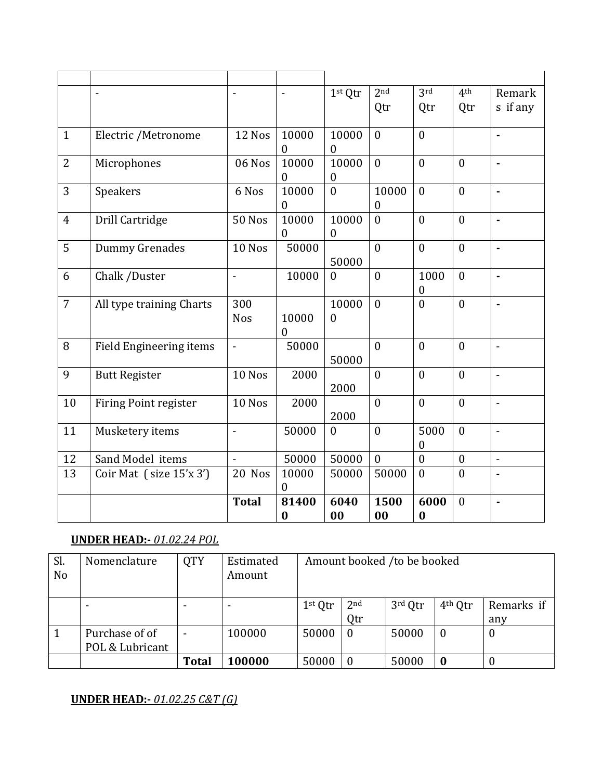|                | $\overline{\phantom{a}}$       |                   | $\blacksquare$    | 1st Qtr                   | 2 <sub>nd</sub>           | 3rd                      | 4 <sup>th</sup>  | Remark                   |
|----------------|--------------------------------|-------------------|-------------------|---------------------------|---------------------------|--------------------------|------------------|--------------------------|
|                |                                |                   |                   |                           | Qtr                       | Qtr                      | Qtr              | s if any                 |
| $\mathbf{1}$   | Electric /Metronome            | 12 Nos            | 10000<br>0        | 10000<br>$\mathbf{0}$     | $\overline{0}$            | $\overline{0}$           |                  | ä,                       |
| $\overline{2}$ | Microphones                    | 06 Nos            | 10000<br>$\theta$ | 10000<br>$\boldsymbol{0}$ | $\theta$                  | $\mathbf{0}$             | $\overline{0}$   | ÷,                       |
| 3              | Speakers                       | 6 Nos             | 10000<br>$\theta$ | $\boldsymbol{0}$          | 10000<br>$\boldsymbol{0}$ | $\mathbf{0}$             | $\overline{0}$   | $\blacksquare$           |
| $\overline{4}$ | Drill Cartridge                | <b>50 Nos</b>     | 10000<br>$\Omega$ | 10000<br>$\boldsymbol{0}$ | $\theta$                  | $\mathbf{0}$             | $\theta$         | ä,                       |
| 5              | Dummy Grenades                 | 10 Nos            | 50000             | 50000                     | $\overline{0}$            | $\mathbf{0}$             | $\mathbf{0}$     | $\blacksquare$           |
| 6              | Chalk /Duster                  | $\overline{a}$    | 10000             | $\mathbf{0}$              | $\theta$                  | 1000<br>$\theta$         | $\mathbf{0}$     | $\overline{a}$           |
| $\overline{7}$ | All type training Charts       | 300<br><b>Nos</b> | 10000<br>$\theta$ | 10000<br>$\mathbf{0}$     | $\theta$                  | $\mathbf{0}$             | $\mathbf{0}$     | ÷,                       |
| 8              | <b>Field Engineering items</b> | $\overline{a}$    | 50000             | 50000                     | $\mathbf{0}$              | $\mathbf{0}$             | $\mathbf{0}$     | $\overline{a}$           |
| 9              | <b>Butt Register</b>           | 10 Nos            | 2000              | 2000                      | $\theta$                  | $\overline{0}$           | $\theta$         | $\overline{a}$           |
| 10             | <b>Firing Point register</b>   | 10 Nos            | 2000              | 2000                      | $\theta$                  | $\mathbf{0}$             | $\overline{0}$   | $\overline{a}$           |
| 11             | Musketery items                | $\overline{a}$    | 50000             | $\boldsymbol{0}$          | $\mathbf{0}$              | 5000<br>$\boldsymbol{0}$ | $\overline{0}$   | $\overline{a}$           |
| 12             | Sand Model items               | $\overline{a}$    | 50000             | 50000                     | $\mathbf{0}$              | $\boldsymbol{0}$         | $\boldsymbol{0}$ | $\blacksquare$           |
| 13             | Coir Mat (size 15'x 3')        | 20 Nos            | 10000<br>0        | 50000                     | 50000                     | $\overline{0}$           | $\theta$         | $\overline{\phantom{a}}$ |
|                |                                | <b>Total</b>      | 81400<br>$\bf{0}$ | 6040<br>00                | 1500<br>00                | 6000<br>$\boldsymbol{0}$ | $\overline{0}$   | $\blacksquare$           |

#### **UNDER HEAD:-** *01.02.24 POL*

| Sl.<br>N <sub>o</sub> | Nomenclature                      | <b>QTY</b>   | Estimated<br>Amount |           |                        | Amount booked /to be booked |                     |                   |
|-----------------------|-----------------------------------|--------------|---------------------|-----------|------------------------|-----------------------------|---------------------|-------------------|
|                       |                                   |              |                     | $1st$ Qtr | 2 <sub>nd</sub><br>Qtr | 3rd Qtr                     | 4 <sup>th</sup> Qtr | Remarks if<br>any |
|                       | Purchase of of<br>POL & Lubricant |              | 100000              | 50000     | - 0                    | 50000                       | $\boldsymbol{0}$    | $\mathbf 0$       |
|                       |                                   | <b>Total</b> | 100000              | 50000     | $\bm{0}$               | 50000                       | $\bf{0}$            |                   |

#### **UNDER HEAD:-** *01.02.25 C&T (G)*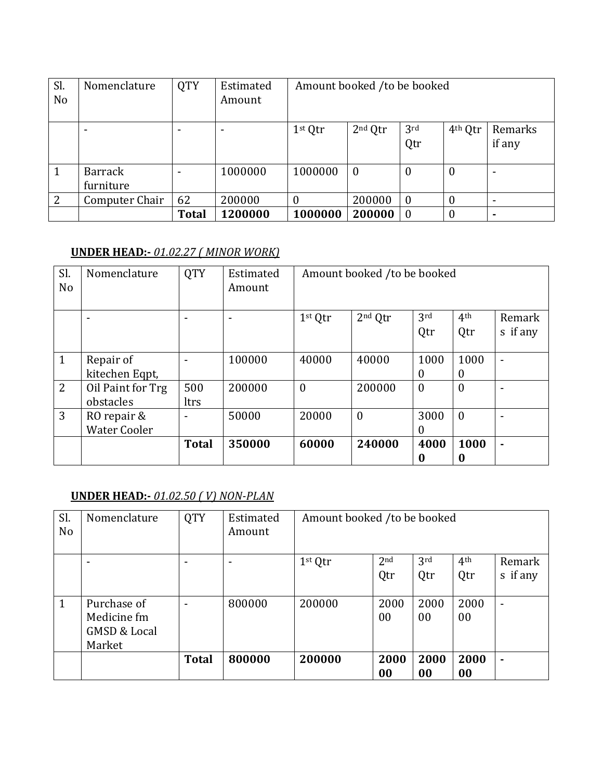| Sl.<br>N <sub>o</sub> | Nomenclature                | <b>QTY</b>   | Estimated<br>Amount | Amount booked /to be booked |                |                        |                     |                   |
|-----------------------|-----------------------------|--------------|---------------------|-----------------------------|----------------|------------------------|---------------------|-------------------|
|                       |                             |              |                     | $1st$ Qtr                   | $2nd$ Qtr      | 3 <sup>rd</sup><br>Qtr | 4 <sup>th</sup> Qtr | Remarks<br>if any |
|                       | <b>Barrack</b><br>furniture |              | 1000000             | 1000000                     | $\overline{0}$ | $\theta$               | $\boldsymbol{0}$    |                   |
| $\overline{2}$        | Computer Chair              | 62           | 200000              | $\bf{0}$                    | 200000         | $\bf{0}$               | $\bf{0}$            |                   |
|                       |                             | <b>Total</b> | 1200000             | 1000000                     | 200000         | $\overline{0}$         | $\theta$            |                   |

#### **UNDER HEAD:-** *01.02.27 ( MINOR WORK)*

| Sl.<br>N <sub>o</sub> | Nomenclature                       | <b>QTY</b>   | Estimated<br>Amount |                     | Amount booked /to be booked |                  |                        |                    |
|-----------------------|------------------------------------|--------------|---------------------|---------------------|-----------------------------|------------------|------------------------|--------------------|
|                       |                                    |              |                     | 1 <sup>st</sup> Qtr | 2 <sup>nd</sup> Qtr         | 3rd<br>Qtr       | 4 <sup>th</sup><br>Qtr | Remark<br>s if any |
| $\mathbf{1}$          | Repair of<br>kitechen Eqpt,        |              | 100000              | 40000               | 40000                       | 1000<br>0        | 1000<br>$\overline{0}$ | ٠                  |
| 2                     | Oil Paint for Trg<br>obstacles     | 500<br>ltrs  | 200000              | $\theta$            | 200000                      | $\mathbf{0}$     | $\theta$               |                    |
| 3                     | RO repair &<br><b>Water Cooler</b> |              | 50000               | 20000               | $\boldsymbol{0}$            | 3000<br>$\theta$ | $\mathbf{0}$           |                    |
|                       |                                    | <b>Total</b> | 350000              | 60000               | 240000                      | 4000<br>0        | 1000<br>0              | ٠                  |

#### **UNDER HEAD:-** *01.02.50 ( V) NON-PLAN*

| Sl.<br>N <sub>0</sub> | Nomenclature            | <b>QTY</b>   | Estimated<br>Amount | Amount booked /to be booked |                 |      |                 |                          |
|-----------------------|-------------------------|--------------|---------------------|-----------------------------|-----------------|------|-----------------|--------------------------|
|                       | ۰                       |              | $\,$                | 1 <sup>st</sup> Qtr         | 2 <sub>nd</sub> | 3rd  | 4 <sup>th</sup> | Remark                   |
|                       |                         |              |                     |                             | Qtr             | Qtr  | Qtr             | s if any                 |
| $\mathbf{1}$          | Purchase of             |              | 800000              | 200000                      | 2000            | 2000 | 2000            | $\overline{\phantom{0}}$ |
|                       | Medicine fm             |              |                     |                             | $00\,$          | 00   | 00              |                          |
|                       | <b>GMSD &amp; Local</b> |              |                     |                             |                 |      |                 |                          |
|                       | Market                  |              |                     |                             |                 |      |                 |                          |
|                       |                         | <b>Total</b> | 800000              | 200000                      | 2000            | 2000 | 2000            | ۰                        |
|                       |                         |              |                     |                             | 00              | 00   | 00              |                          |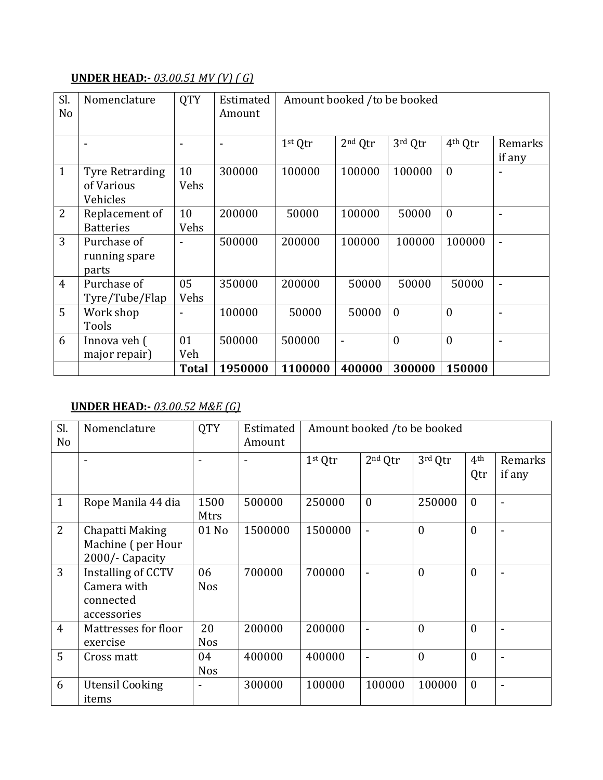## **UNDER HEAD:-** *03.00.51 MV (V) ( G)*

| Sl.<br>N <sub>o</sub> | Nomenclature                                     | <b>QTY</b>               | Estimated<br>Amount | Amount booked /to be booked |                     |              |                     |                          |  |  |
|-----------------------|--------------------------------------------------|--------------------------|---------------------|-----------------------------|---------------------|--------------|---------------------|--------------------------|--|--|
|                       |                                                  | $\overline{\phantom{a}}$ |                     | 1st Qtr                     | 2 <sup>nd</sup> Qtr | 3rd Qtr      | 4 <sup>th</sup> Qtr | Remarks<br>if any        |  |  |
| $\mathbf{1}$          | <b>Tyre Retrarding</b><br>of Various<br>Vehicles | 10<br>Vehs               | 300000              | 100000                      | 100000              | 100000       | $\theta$            |                          |  |  |
| 2                     | Replacement of<br><b>Batteries</b>               | 10<br>Vehs               | 200000              | 50000                       | 100000              | 50000        | $\theta$            | $\overline{a}$           |  |  |
| 3                     | Purchase of<br>running spare<br>parts            |                          | 500000              | 200000                      | 100000              | 100000       | 100000              | $\overline{\phantom{0}}$ |  |  |
| $\overline{4}$        | Purchase of<br>Tyre/Tube/Flap                    | 05<br>Vehs               | 350000              | 200000                      | 50000               | 50000        | 50000               | $\blacksquare$           |  |  |
| 5                     | Work shop<br>Tools                               |                          | 100000              | 50000                       | 50000               | $\mathbf{0}$ | $\mathbf{0}$        |                          |  |  |
| 6                     | Innova veh (<br>major repair)                    | 01<br>Veh                | 500000              | 500000                      |                     | $\mathbf{0}$ | $\overline{0}$      | ۰                        |  |  |
|                       |                                                  | <b>Total</b>             | 1950000             | 1100000                     | 400000              | 300000       | 150000              |                          |  |  |

#### **UNDER HEAD:-** *03.00.52 M&E (G)*

| Sl.<br>N <sub>o</sub> | Nomenclature                                                         | <b>QTY</b>       | Estimated<br>Amount |         | Amount booked /to be booked |              |                        |                          |  |  |
|-----------------------|----------------------------------------------------------------------|------------------|---------------------|---------|-----------------------------|--------------|------------------------|--------------------------|--|--|
|                       |                                                                      | Ξ.               |                     | 1st Qtr | 2 <sup>nd</sup> Qtr         | 3rd Qtr      | 4 <sup>th</sup><br>Qtr | Remarks<br>if any        |  |  |
| $\mathbf{1}$          | Rope Manila 44 dia                                                   | 1500<br>Mtrs     | 500000              | 250000  | $\mathbf{0}$                | 250000       | $\boldsymbol{0}$       | $\overline{a}$           |  |  |
| 2                     | Chapatti Making<br>Machine (per Hour<br>2000/- Capacity              | 01 No            | 1500000             | 1500000 | $\overline{\phantom{a}}$    | $\mathbf{0}$ | $\theta$               | $\overline{\phantom{0}}$ |  |  |
| 3                     | <b>Installing of CCTV</b><br>Camera with<br>connected<br>accessories | 06<br><b>Nos</b> | 700000              | 700000  | $\blacksquare$              | $\mathbf{0}$ | $\boldsymbol{0}$       | ۰                        |  |  |
| $\overline{4}$        | Mattresses for floor<br>exercise                                     | 20<br><b>Nos</b> | 200000              | 200000  |                             | $\theta$     | $\theta$               | $\overline{a}$           |  |  |
| 5                     | Cross matt                                                           | 04<br><b>Nos</b> | 400000              | 400000  |                             | $\mathbf{0}$ | $\boldsymbol{0}$       | ۰                        |  |  |
| 6                     | Utensil Cooking<br>items                                             |                  | 300000              | 100000  | 100000                      | 100000       | $\mathbf{0}$           | -                        |  |  |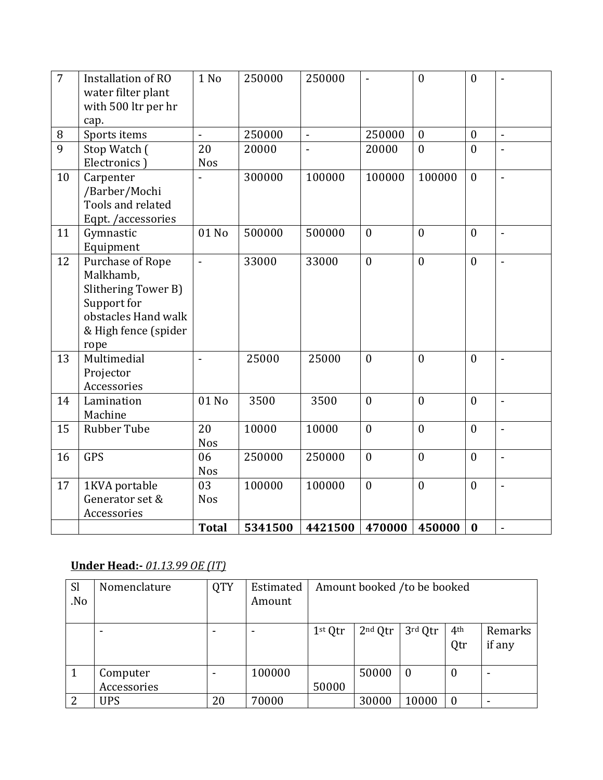| $\overline{7}$ | Installation of RO<br>water filter plant<br>with 500 ltr per hr<br>cap.                                                    | 1 No             | 250000  | 250000         | $\overline{a}$ | $\overline{0}$ | $\overline{0}$   | $\overline{a}$ |
|----------------|----------------------------------------------------------------------------------------------------------------------------|------------------|---------|----------------|----------------|----------------|------------------|----------------|
| 8              | Sports items                                                                                                               | $\overline{a}$   | 250000  | $\blacksquare$ | 250000         | $\mathbf{0}$   | $\boldsymbol{0}$ | $\overline{a}$ |
| 9              | Stop Watch (<br>Electronics)                                                                                               | 20<br><b>Nos</b> | 20000   |                | 20000          | $\overline{0}$ | $\theta$         |                |
| 10             | Carpenter<br>/Barber/Mochi<br>Tools and related<br>Eqpt. /accessories                                                      |                  | 300000  | 100000         | 100000         | 100000         | $\theta$         | $\overline{a}$ |
| 11             | Gymnastic<br>Equipment                                                                                                     | 01 No            | 500000  | 500000         | $\mathbf{0}$   | $\overline{0}$ | $\mathbf{0}$     | $\frac{1}{2}$  |
| 12             | Purchase of Rope<br>Malkhamb,<br>Slithering Tower B)<br>Support for<br>obstacles Hand walk<br>& High fence (spider<br>rope | $\overline{a}$   | 33000   | 33000          | $\mathbf{0}$   | $\overline{0}$ | $\mathbf{0}$     | $\overline{a}$ |
| 13             | Multimedial<br>Projector<br>Accessories                                                                                    | $\overline{a}$   | 25000   | 25000          | $\theta$       | $\overline{0}$ | $\overline{0}$   | $\overline{a}$ |
| 14             | Lamination<br>Machine                                                                                                      | 01 No            | 3500    | 3500           | $\theta$       | $\overline{0}$ | $\theta$         | $\overline{a}$ |
| 15             | <b>Rubber Tube</b>                                                                                                         | 20<br><b>Nos</b> | 10000   | 10000          | $\mathbf{0}$   | $\overline{0}$ | $\mathbf{0}$     | $\overline{a}$ |
| 16             | <b>GPS</b>                                                                                                                 | 06<br><b>Nos</b> | 250000  | 250000         | $\mathbf{0}$   | $\overline{0}$ | $\mathbf{0}$     | $\overline{a}$ |
| 17             | 1KVA portable<br>Generator set &<br>Accessories                                                                            | 03<br><b>Nos</b> | 100000  | 100000         | $\overline{0}$ | $\overline{0}$ | $\mathbf{0}$     | $\overline{a}$ |
|                |                                                                                                                            | <b>Total</b>     | 5341500 | 4421500        | 470000         | 450000         | $\bf{0}$         | $\blacksquare$ |

# **Under Head:-** *01.13.99 OE (IT)*

| <b>Sl</b><br>No. | Nomenclature | <b>QTY</b> | Estimated<br>Amount | Amount booked /to be booked |                     |                  |                        |                   |
|------------------|--------------|------------|---------------------|-----------------------------|---------------------|------------------|------------------------|-------------------|
|                  |              | ۰          |                     | 1 <sup>st</sup> Qtr         | 2 <sup>nd</sup> Qtr | 3rd Qtr          | 4 <sup>th</sup><br>Qtr | Remarks<br>if any |
|                  | Computer     | ۰          | 100000              |                             | 50000               | $\boldsymbol{0}$ | $\boldsymbol{0}$       |                   |
|                  | Accessories  |            |                     | 50000                       |                     |                  |                        |                   |
| 2                | UPS          | 20         | 70000               |                             | 30000               | 10000            | $\theta$               |                   |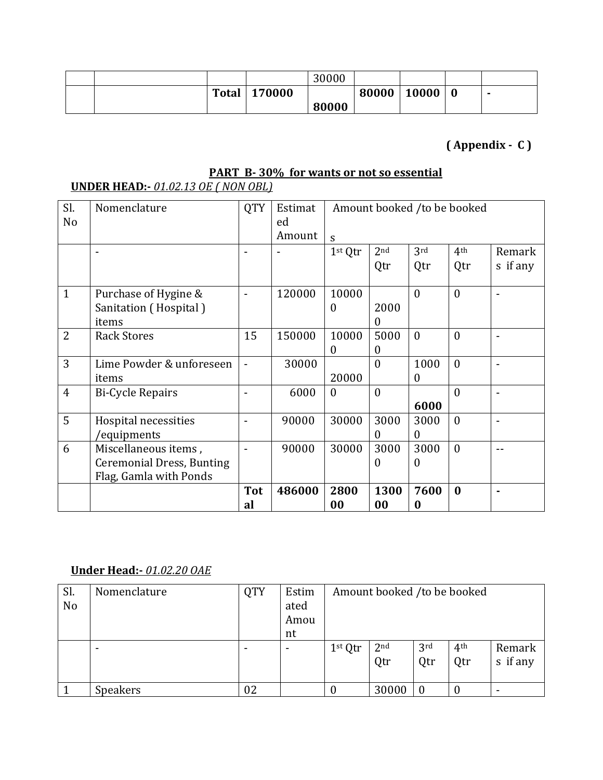|  |              |        | 30000 |       |       |                  |  |
|--|--------------|--------|-------|-------|-------|------------------|--|
|  | <b>Total</b> | 170000 |       | 80000 | 10000 | $\boldsymbol{0}$ |  |
|  |              |        | 80000 |       |       |                  |  |

# **( Appendix - C )**

# **PART B- 30% for wants or not so essential**

### **UNDER HEAD:-** *01.02.13 OE ( NON OBL)*

| Sl.<br>No      | Nomenclature                     | <b>QTY</b>       | Estimat<br>ed | Amount booked /to be booked |                 |           |                 |                          |
|----------------|----------------------------------|------------------|---------------|-----------------------------|-----------------|-----------|-----------------|--------------------------|
|                |                                  |                  | Amount        | S                           |                 |           |                 |                          |
|                |                                  |                  |               | 1st Qtr                     | 2 <sub>nd</sub> | 3rd       | 4 <sup>th</sup> | Remark                   |
|                |                                  |                  |               |                             | Qtr             | Qtr       | Qtr             | s if any                 |
| $\mathbf{1}$   | Purchase of Hygine &             |                  | 120000        | 10000                       |                 | $\theta$  | $\theta$        |                          |
|                | Sanitation (Hospital)            |                  |               | $\boldsymbol{0}$            | 2000            |           |                 |                          |
|                | items                            |                  |               |                             | 0               |           |                 |                          |
| $\overline{2}$ | <b>Rack Stores</b>               | 15               | 150000        | 10000                       | 5000            | $\theta$  | $\theta$        | $\overline{\phantom{0}}$ |
|                |                                  |                  |               | $\boldsymbol{0}$            | $\Omega$        |           |                 |                          |
| 3              | Lime Powder & unforeseen         |                  | 30000         |                             | $\theta$        | 1000      | $\mathbf{0}$    |                          |
|                | items                            |                  |               | 20000                       |                 | $\Omega$  |                 |                          |
| $\overline{4}$ | <b>Bi-Cycle Repairs</b>          |                  | 6000          | $\theta$                    | $\theta$        |           | $\theta$        | $\blacksquare$           |
|                |                                  |                  |               |                             |                 | 6000      |                 |                          |
| 5              | Hospital necessities             |                  | 90000         | 30000                       | 3000            | 3000      | $\theta$        | $\blacksquare$           |
|                | 'equipments                      |                  |               |                             | $\Omega$        | $\theta$  |                 |                          |
| 6              | Miscellaneous items,             |                  | 90000         | 30000                       | 3000            | 3000      | $\mathbf{0}$    |                          |
|                | <b>Ceremonial Dress, Bunting</b> |                  |               |                             | $\Omega$        | $\Omega$  |                 |                          |
|                | Flag, Gamla with Ponds           |                  |               |                             |                 |           |                 |                          |
|                |                                  | <b>Tot</b><br>al | 486000        | 2800<br>00                  | 1300<br>00      | 7600<br>0 | $\bf{0}$        |                          |

### **Under Head:-** *01.02.20 OAE*

| Sl.<br>No | Nomenclature | <b>QTY</b> | Estim<br>ated<br>Amou<br>nt | Amount booked /to be booked |                        |                        |                        |                    |  |
|-----------|--------------|------------|-----------------------------|-----------------------------|------------------------|------------------------|------------------------|--------------------|--|
|           |              |            |                             | 1 <sup>st</sup> Qtr         | 2 <sup>nd</sup><br>Qtr | 3 <sup>rd</sup><br>Qtr | 4 <sup>th</sup><br>Qtr | Remark<br>s if any |  |
|           | Speakers     | 02         |                             | $\boldsymbol{0}$            | 30000                  | $\bf{0}$               | 0                      |                    |  |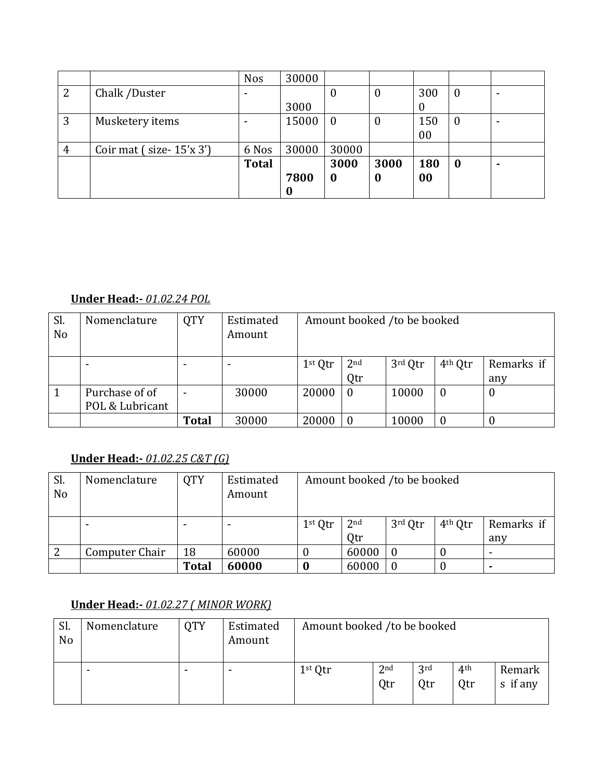|   |                           | <b>Nos</b>   | 30000 |                  |          |            |                  |   |
|---|---------------------------|--------------|-------|------------------|----------|------------|------------------|---|
| 2 | Chalk /Duster             |              |       | 0                | $\bf{0}$ | 300        | $\bf{0}$         |   |
|   |                           |              | 3000  |                  |          |            |                  |   |
| 3 | Musketery items           |              | 15000 | $\boldsymbol{0}$ | $\bf{0}$ | 150        | $\bf{0}$         |   |
|   |                           |              |       |                  |          | 00         |                  |   |
| 4 | Coir mat $(size-15'x 3')$ | 6 Nos        | 30000 | 30000            |          |            |                  |   |
|   |                           | <b>Total</b> |       | 3000             | 3000     | <b>180</b> | $\boldsymbol{0}$ | ۰ |
|   |                           |              | 7800  | $\boldsymbol{0}$ | $\bf{0}$ | 00         |                  |   |
|   |                           |              |       |                  |          |            |                  |   |

### **Under Head:-** *01.02.24 POL*

| Sl.<br>N <sub>o</sub> | Nomenclature                      | <b>QTY</b>   | Estimated<br>Amount | Amount booked /to be booked |              |         |                     |            |  |
|-----------------------|-----------------------------------|--------------|---------------------|-----------------------------|--------------|---------|---------------------|------------|--|
|                       |                                   |              |                     | $1st$ Qtr                   | $2^{\rm nd}$ | 3rd Qtr | 4 <sup>th</sup> Qtr | Remarks if |  |
|                       |                                   |              |                     |                             | Qtr          |         |                     | any        |  |
|                       | Purchase of of<br>POL & Lubricant |              | 30000               | 20000                       | $\bf{0}$     | 10000   | $\boldsymbol{0}$    | 0          |  |
|                       |                                   | <b>Total</b> | 30000               | 20000                       | $\bf{0}$     | 10000   | $\boldsymbol{0}$    |            |  |

# **Under Head:-** *01.02.25 C&T (G)*

| Sl.<br>No | Nomenclature   | <b>QTY</b>   | Estimated<br>Amount | Amount booked /to be booked |                 |           |                     |                          |  |  |
|-----------|----------------|--------------|---------------------|-----------------------------|-----------------|-----------|---------------------|--------------------------|--|--|
|           |                |              |                     | $1st$ Qtr                   | 2 <sub>nd</sub> | $3rd$ Qtr | 4 <sup>th</sup> Qtr | Remarks if               |  |  |
|           |                |              |                     |                             | Qtr             |           |                     | any                      |  |  |
|           | Computer Chair | 18           | 60000               |                             | 60000           | $\theta$  | U                   | $\overline{\phantom{0}}$ |  |  |
|           |                | <b>Total</b> | 60000               |                             | 60000           |           |                     |                          |  |  |

# **Under Head:-** *01.02.27 ( MINOR WORK)*

| Sl.<br>N <sub>o</sub> | Nomenclature             | <b>OTY</b> | Estimated<br>Amount | Amount booked /to be booked |                        |            |                        |                    |  |
|-----------------------|--------------------------|------------|---------------------|-----------------------------|------------------------|------------|------------------------|--------------------|--|
|                       | $\overline{\phantom{0}}$ |            |                     | $1st$ Qtr                   | 2 <sub>nd</sub><br>Qtr | 3rd<br>Qtr | 4 <sup>th</sup><br>Qtr | Remark<br>s if any |  |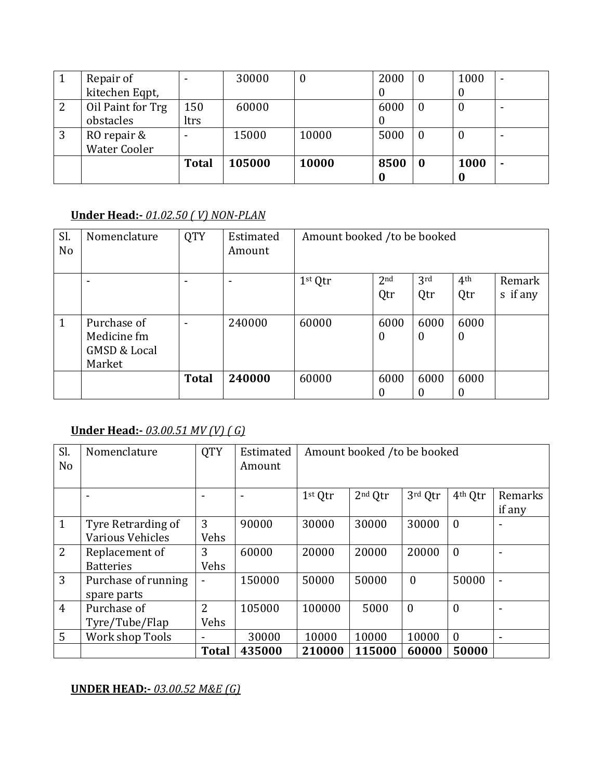|                | Repair of           |              | 30000  | $\theta$ | 2000 | $\boldsymbol{0}$ | 1000     | $\overline{\phantom{a}}$ |
|----------------|---------------------|--------------|--------|----------|------|------------------|----------|--------------------------|
|                | kitechen Eqpt,      |              |        |          | υ    |                  | υ        |                          |
| $\overline{2}$ | Oil Paint for Trg   | 150          | 60000  |          | 6000 | $\bf{0}$         | U        |                          |
|                | obstacles           | ltrs         |        |          |      |                  |          |                          |
| 3              | RO repair &         |              | 15000  | 10000    | 5000 | $\bf{0}$         | $\theta$ | ۰                        |
|                | <b>Water Cooler</b> |              |        |          |      |                  |          |                          |
|                |                     | <b>Total</b> | 105000 | 10000    | 8500 | $\bf{0}$         | 1000     | ۰                        |
|                |                     |              |        |          |      |                  |          |                          |

#### **Under Head:-** *01.02.50 ( V) NON-PLAN*

| Sl.<br>N <sub>o</sub> | Nomenclature            | <b>QTY</b>   | Estimated<br>Amount | Amount booked /to be booked |                 |          |                 |          |  |
|-----------------------|-------------------------|--------------|---------------------|-----------------------------|-----------------|----------|-----------------|----------|--|
|                       | ۰                       |              |                     | 1 <sup>st</sup> Qtr         | 2 <sub>nd</sub> | 3rd      | 4 <sup>th</sup> | Remark   |  |
|                       |                         |              |                     |                             | Qtr             | Qtr      | Qtr             | s if any |  |
|                       |                         |              |                     |                             |                 |          |                 |          |  |
| $\mathbf{1}$          | Purchase of             |              | 240000              | 60000                       | 6000            | 6000     | 6000            |          |  |
|                       | Medicine fm             |              |                     |                             | 0               | $\theta$ | $\overline{0}$  |          |  |
|                       | <b>GMSD &amp; Local</b> |              |                     |                             |                 |          |                 |          |  |
|                       | Market                  |              |                     |                             |                 |          |                 |          |  |
|                       |                         | <b>Total</b> | 240000              | 60000                       | 6000            | 6000     | 6000            |          |  |
|                       |                         |              |                     |                             | 0               | 0        | 0               |          |  |

### **Under Head:-** *03.00.51 MV (V) ( G)*

| Sl.<br>N <sub>o</sub> | Nomenclature        | <b>QTY</b>               | Estimated<br>Amount      |                     | Amount booked /to be booked |              |                     |                |
|-----------------------|---------------------|--------------------------|--------------------------|---------------------|-----------------------------|--------------|---------------------|----------------|
|                       |                     | ٠                        | $\overline{\phantom{a}}$ | 1 <sup>st</sup> Qtr | 2 <sup>nd</sup> Qtr         | 3rd Qtr      | 4 <sup>th</sup> Qtr | Remarks        |
|                       |                     |                          |                          |                     |                             |              |                     | if any         |
| $\mathbf{1}$          | Tyre Retrarding of  | 3                        | 90000                    | 30000               | 30000                       | 30000        | $\theta$            | ۰              |
|                       | Various Vehicles    | Vehs                     |                          |                     |                             |              |                     |                |
| 2                     | Replacement of      | 3                        | 60000                    | 20000               | 20000                       | 20000        | $\overline{0}$      | ۰              |
|                       | <b>Batteries</b>    | Vehs                     |                          |                     |                             |              |                     |                |
| 3                     | Purchase of running | $\overline{\phantom{a}}$ | 150000                   | 50000               | 50000                       | $\mathbf{0}$ | 50000               | $\blacksquare$ |
|                       | spare parts         |                          |                          |                     |                             |              |                     |                |
| $\overline{4}$        | Purchase of         | $\overline{2}$           | 105000                   | 100000              | 5000                        | $\mathbf{0}$ | $\theta$            |                |
|                       | Tyre/Tube/Flap      | Vehs                     |                          |                     |                             |              |                     |                |
| 5                     | Work shop Tools     | $\overline{\phantom{a}}$ | 30000                    | 10000               | 10000                       | 10000        | $\mathbf{0}$        |                |
|                       |                     | <b>Total</b>             | 435000                   | 210000              | 115000                      | 60000        | 50000               |                |

#### **UNDER HEAD:-** *03.00.52 M&E (G)*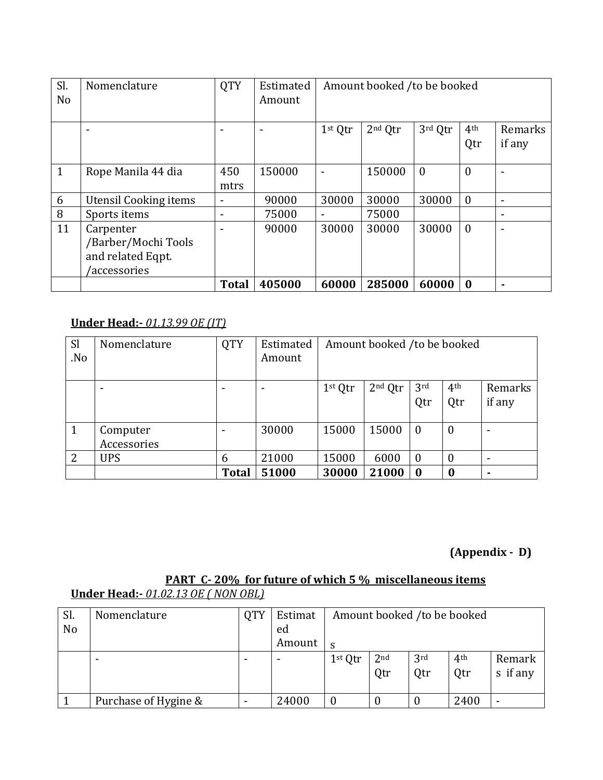| Sl.<br>N <sub>o</sub> | Nomenclature                 | <b>QTY</b>   | Estimated<br>Amount |                          | Amount booked /to be booked |              |                  |                |
|-----------------------|------------------------------|--------------|---------------------|--------------------------|-----------------------------|--------------|------------------|----------------|
|                       |                              |              |                     | 1 <sup>st</sup> Qtr      | $2nd$ Qtr                   | 3rd Qtr      | 4 <sup>th</sup>  | Remarks        |
|                       |                              |              |                     |                          |                             |              | Qtr              | if any         |
|                       |                              |              |                     |                          |                             |              |                  |                |
| 1                     | Rope Manila 44 dia           | 450          | 150000              |                          | 150000                      | $\mathbf{0}$ | $\boldsymbol{0}$ |                |
|                       |                              | mtrs         |                     |                          |                             |              |                  |                |
| 6                     | <b>Utensil Cooking items</b> | ٠            | 90000               | 30000                    | 30000                       | 30000        | $\overline{0}$   | $\blacksquare$ |
| 8                     | Sports items                 | ٠            | 75000               | $\overline{\phantom{0}}$ | 75000                       |              |                  | ۰              |
| 11                    | Carpenter                    |              | 90000               | 30000                    | 30000                       | 30000        | $\overline{0}$   | ۰              |
|                       | /Barber/Mochi Tools          |              |                     |                          |                             |              |                  |                |
|                       | and related Eqpt.            |              |                     |                          |                             |              |                  |                |
|                       | /accessories                 |              |                     |                          |                             |              |                  |                |
|                       |                              | <b>Total</b> | 405000              | 60000                    | 285000                      | 60000        | $\bf{0}$         | $\blacksquare$ |

# **Under Head:-** *01.13.99 OE (IT)*

| <sub>Sl</sub><br>.No | Nomenclature            | <b>QTY</b>   | Estimated<br>Amount |                     | Amount booked /to be booked |                        |                        |                   |
|----------------------|-------------------------|--------------|---------------------|---------------------|-----------------------------|------------------------|------------------------|-------------------|
|                      |                         |              |                     | 1 <sup>st</sup> Qtr | $2nd$ Qtr                   | 3 <sup>rd</sup><br>Qtr | 4 <sup>th</sup><br>Qtr | Remarks<br>if any |
|                      | Computer<br>Accessories |              | 30000               | 15000               | 15000                       | $\mathbf{0}$           | 0                      |                   |
| $\overline{2}$       | <b>UPS</b>              | 6            | 21000               | 15000               | 6000                        | $\bf{0}$               | 0                      |                   |
|                      |                         | <b>Total</b> | 51000               | 30000               | 21000                       | $\bf{0}$               | 0                      |                   |

# **(Appendix - D)**

#### **PART C- 20% for future of which 5 % miscellaneous items Under Head:-** *01.02.13 OE ( NON OBL)*

| Sl.            | Nomenclature         | <b>QTY</b> | Estimat |                     |                 |                 | Amount booked /to be booked |          |
|----------------|----------------------|------------|---------|---------------------|-----------------|-----------------|-----------------------------|----------|
| N <sub>o</sub> |                      |            | ed      |                     |                 |                 |                             |          |
|                |                      |            | Amount  | <sub>S</sub>        |                 |                 |                             |          |
|                |                      |            |         | 1 <sup>st</sup> Qtr | 2 <sub>nd</sub> | 3 <sup>rd</sup> | 4 <sup>th</sup>             | Remark   |
|                |                      |            |         |                     | Qtr             | Qtr             | Qtr                         | s if any |
|                |                      |            |         |                     |                 |                 |                             |          |
|                | Purchase of Hygine & |            | 24000   | $\bf{0}$            |                 |                 | 2400                        |          |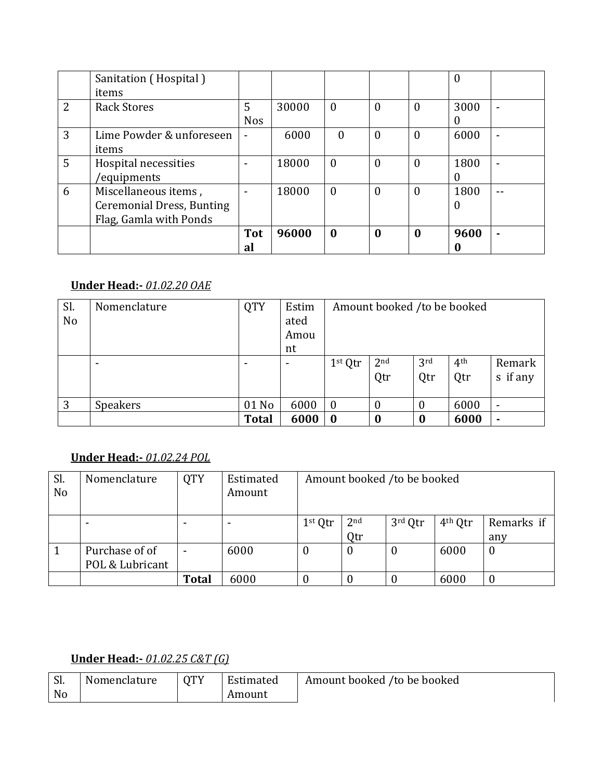|   | Sanitation (Hospital)<br>items   |                |       |                  |   |                  | $\overline{0}$ |                          |
|---|----------------------------------|----------------|-------|------------------|---|------------------|----------------|--------------------------|
| 2 | <b>Rack Stores</b>               | 5              | 30000 | $\boldsymbol{0}$ | 0 | $\overline{0}$   | 3000           | $\overline{\phantom{0}}$ |
|   |                                  | <b>Nos</b>     |       |                  |   |                  | $\Omega$       |                          |
| 3 | Lime Powder & unforeseen         |                | 6000  | $\theta$         | 0 | $\theta$         | 6000           | $\overline{\phantom{0}}$ |
|   | items                            |                |       |                  |   |                  |                |                          |
| 5 | Hospital necessities             | $\blacksquare$ | 18000 | $\mathbf{0}$     | 0 | $\boldsymbol{0}$ | 1800           | $\overline{\phantom{0}}$ |
|   | 'equipments                      |                |       |                  |   |                  | $\theta$       |                          |
| 6 | Miscellaneous items,             |                | 18000 | $\boldsymbol{0}$ | 0 | $\mathbf{0}$     | 1800           |                          |
|   | <b>Ceremonial Dress, Bunting</b> |                |       |                  |   |                  | $\overline{0}$ |                          |
|   | Flag, Gamla with Ponds           |                |       |                  |   |                  |                |                          |
|   |                                  | <b>Tot</b>     | 96000 | $\bf{0}$         | 0 | 0                | 9600           | ٠                        |
|   |                                  | al             |       |                  |   |                  |                |                          |

#### **Under Head:-** *01.02.20 OAE*

| Sl.<br>N <sub>o</sub> | Nomenclature | <b>QTY</b>   | Estim<br>ated<br>Amou<br>nt |                     | Amount booked /to be booked |                |                        |                          |
|-----------------------|--------------|--------------|-----------------------------|---------------------|-----------------------------|----------------|------------------------|--------------------------|
|                       |              |              |                             | 1 <sup>st</sup> Qtr | 2 <sub>nd</sub><br>Qtr      | 3rd<br>Qtr     | 4 <sup>th</sup><br>Qtr | Remark<br>s if any       |
| 3                     | Speakers     | 01 No        | 6000                        | $\overline{0}$      | 0                           | $\overline{0}$ | 6000                   | $\overline{\phantom{a}}$ |
|                       |              | <b>Total</b> | 6000                        | $\boldsymbol{0}$    |                             | $\bf{0}$       | 6000                   | $\blacksquare$           |

# **Under Head:-** *01.02.24 POL*

| Sl.<br>No | Nomenclature                      | <b>QTY</b>   | Estimated<br>Amount |           |                        | Amount booked /to be booked |                     |                   |
|-----------|-----------------------------------|--------------|---------------------|-----------|------------------------|-----------------------------|---------------------|-------------------|
|           |                                   |              |                     | $1st$ Qtr | 2 <sub>nd</sub><br>Qtr | 3rd Qtr                     | 4 <sup>th</sup> Qtr | Remarks if<br>any |
|           | Purchase of of<br>POL & Lubricant |              | 6000                | $\theta$  | $\overline{0}$         | 0                           | 6000                | $\boldsymbol{0}$  |
|           |                                   | <b>Total</b> | 6000                |           |                        |                             | 6000                | $\theta$          |

## **Under Head:-** *01.02.25 C&T (G)*

| Sl. | Nomenclature | <b>OTY</b> | Estimated | Amount booked /to be booked |
|-----|--------------|------------|-----------|-----------------------------|
| No  |              |            | Amount    |                             |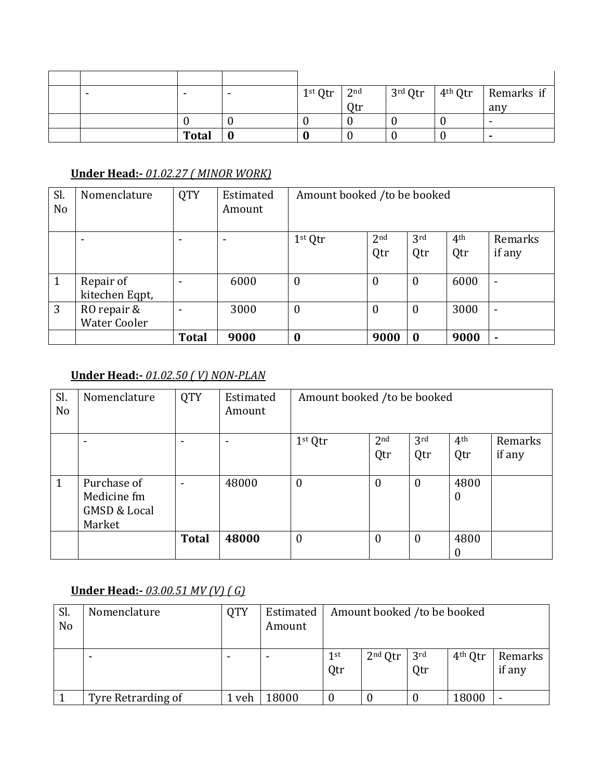|  |       | $1st Qtr$ 2 <sup>nd</sup> |            |  | $\frac{3^{rd}}{2^{tr}}$ ath Qtr   Remarks if |
|--|-------|---------------------------|------------|--|----------------------------------------------|
|  |       |                           | <b>Qtr</b> |  | any                                          |
|  |       |                           |            |  | $\blacksquare$                               |
|  | Total |                           |            |  |                                              |

#### **Under Head:-** *01.02.27 ( MINOR WORK)*

| Sl.<br>N <sub>o</sub> | Nomenclature        | <b>QTY</b>   | Estimated<br>Amount | Amount booked /to be booked |                  |                  |                 |                          |
|-----------------------|---------------------|--------------|---------------------|-----------------------------|------------------|------------------|-----------------|--------------------------|
|                       |                     | -            | ۰                   | $1st$ Qtr                   | 2 <sub>nd</sub>  | 3rd              | 4 <sup>th</sup> | Remarks                  |
|                       |                     |              |                     |                             | Qtr              | Qtr              | Qtr             | if any                   |
|                       |                     |              |                     |                             |                  |                  |                 |                          |
| $\mathbf{1}$          | Repair of           | $\,$         | 6000                | $\boldsymbol{0}$            | $\boldsymbol{0}$ | $\boldsymbol{0}$ | 6000            | $\overline{\phantom{0}}$ |
|                       | kitechen Eqpt,      |              |                     |                             |                  |                  |                 |                          |
| 3                     | RO repair &         | $\,$         | 3000                | $\boldsymbol{0}$            | $\boldsymbol{0}$ | $\boldsymbol{0}$ | 3000            | ۰                        |
|                       | <b>Water Cooler</b> |              |                     |                             |                  |                  |                 |                          |
|                       |                     | <b>Total</b> | 9000                | $\boldsymbol{0}$            | 9000             | $\bf{0}$         | 9000            | $\blacksquare$           |

## **Under Head:-** *01.02.50 ( V) NON-PLAN*

| Sl.<br>N <sub>o</sub> | Nomenclature                                          | <b>QTY</b>   | Estimated<br>Amount | Amount booked /to be booked |                 |                 |                          |         |
|-----------------------|-------------------------------------------------------|--------------|---------------------|-----------------------------|-----------------|-----------------|--------------------------|---------|
|                       |                                                       |              |                     | 1 <sup>st</sup> Qtr         | 2 <sub>nd</sub> | 3 <sup>rd</sup> | 4 <sup>th</sup>          | Remarks |
|                       |                                                       |              |                     |                             | Qtr             | Qtr             | Qtr                      | if any  |
|                       |                                                       |              |                     |                             |                 |                 |                          |         |
| $\mathbf{1}$          | Purchase of<br>Medicine fm<br><b>GMSD &amp; Local</b> |              | 48000               | $\mathbf{0}$                | $\theta$        | $\theta$        | 4800<br>$\bf{0}$         |         |
|                       | Market                                                |              |                     |                             |                 |                 |                          |         |
|                       |                                                       | <b>Total</b> | 48000               | $\mathbf{0}$                | $\theta$        | $\theta$        | 4800<br>$\boldsymbol{0}$ |         |

# **Under Head:-** *03.00.51 MV (V) ( G)*

| Sl.<br>N <sub>o</sub> | Nomenclature       | QTY   | Estimated<br>Amount |                        | Amount booked /to be booked |                        |                     |                          |
|-----------------------|--------------------|-------|---------------------|------------------------|-----------------------------|------------------------|---------------------|--------------------------|
|                       |                    | $\,$  |                     | 1 <sup>st</sup><br>Qtr | $2nd$ Qtr                   | 3 <sup>rd</sup><br>Qtr | 4 <sup>th</sup> Qtr | Remarks<br>if any        |
|                       | Tyre Retrarding of | . veh | 8000                |                        |                             |                        | 18000               | $\overline{\phantom{0}}$ |